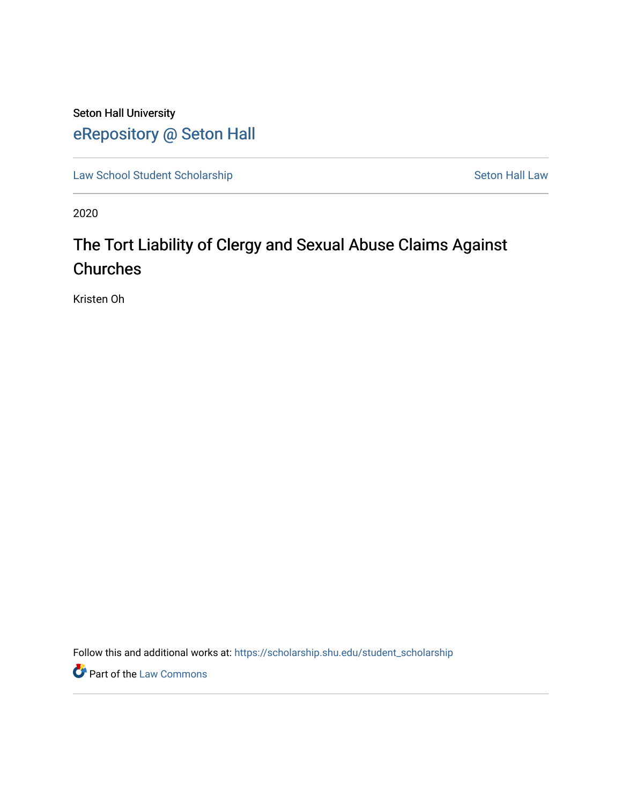Seton Hall University [eRepository @ Seton Hall](https://scholarship.shu.edu/)

[Law School Student Scholarship](https://scholarship.shu.edu/student_scholarship) Seton Hall Law

2020

# The Tort Liability of Clergy and Sexual Abuse Claims Against **Churches**

Kristen Oh

Follow this and additional works at: [https://scholarship.shu.edu/student\\_scholarship](https://scholarship.shu.edu/student_scholarship?utm_source=scholarship.shu.edu%2Fstudent_scholarship%2F1099&utm_medium=PDF&utm_campaign=PDFCoverPages) 

**Part of the [Law Commons](http://network.bepress.com/hgg/discipline/578?utm_source=scholarship.shu.edu%2Fstudent_scholarship%2F1099&utm_medium=PDF&utm_campaign=PDFCoverPages)**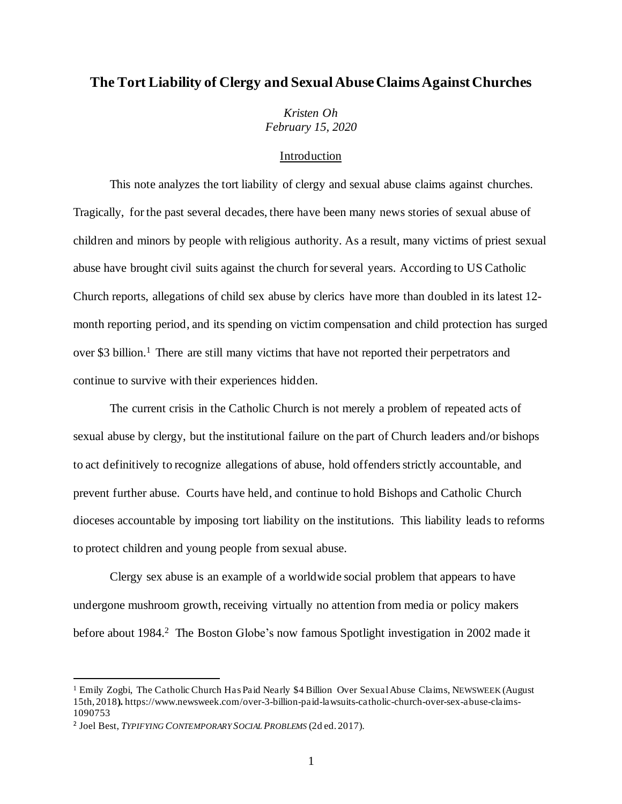# **The Tort Liability of Clergy and Sexual Abuse Claims Against Churches**

*Kristen Oh February 15, 2020*

## Introduction

This note analyzes the tort liability of clergy and sexual abuse claims against churches. Tragically, for the past several decades, there have been many news stories of sexual abuse of children and minors by people with religious authority. As a result, many victims of priest sexual abuse have brought civil suits against the church for several years. According to US Catholic Church reports, allegations of child sex abuse by clerics have more than doubled in its latest 12 month reporting period, and its spending on victim compensation and child protection has surged over \$3 billion.<sup>1</sup> There are still many victims that have not reported their perpetrators and continue to survive with their experiences hidden.

The current crisis in the Catholic Church is not merely a problem of repeated acts of sexual abuse by clergy, but the institutional failure on the part of Church leaders and/or bishops to act definitively to recognize allegations of abuse, hold offenders strictly accountable, and prevent further abuse. Courts have held, and continue to hold Bishops and Catholic Church dioceses accountable by imposing tort liability on the institutions. This liability leads to reforms to protect children and young people from sexual abuse.

Clergy sex abuse is an example of a worldwide social problem that appears to have undergone mushroom growth, receiving virtually no attention from media or policy makers before about 1984.<sup>2</sup> The Boston Globe's now famous Spotlight investigation in 2002 made it

<sup>&</sup>lt;sup>1</sup> Emily Zogbi, The Catholic Church Has Paid Nearly \$4 Billion Over Sexual Abuse Claims, NEWSWEEK (August 15th, 2018**).** https://www.newsweek.com/over-3-billion-paid-lawsuits-catholic-church-over-sex-abuse-claims-1090753

<sup>2</sup> Joel Best, *TYPIFYING CONTEMPORARY SOCIALPROBLEMS* (2d ed. 2017).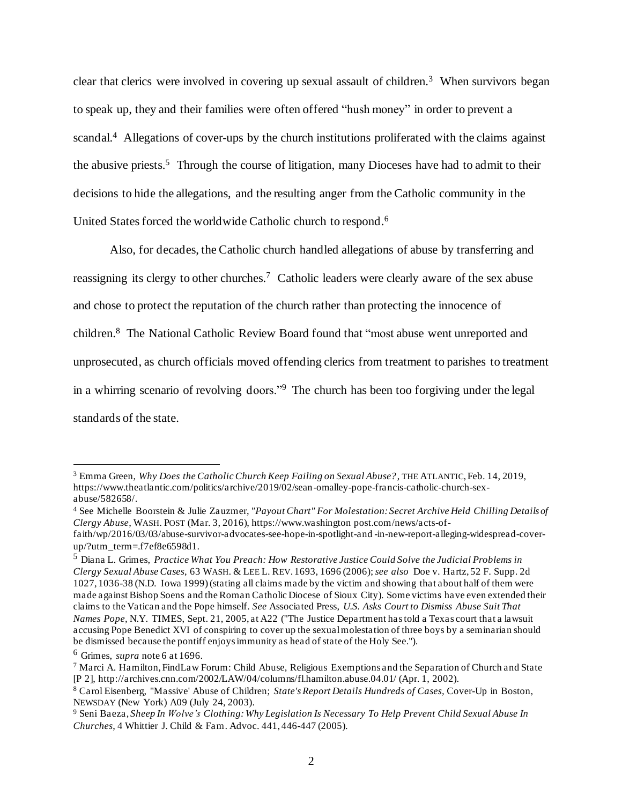clear that clerics were involved in covering up sexual assault of children.<sup>3</sup> When survivors began to speak up, they and their families were often offered "hush money" in order to prevent a scandal.<sup>4</sup> Allegations of cover-ups by the church institutions proliferated with the claims against the abusive priests.<sup>5</sup> Through the course of litigation, many Dioceses have had to admit to their decisions to hide the allegations, and the resulting anger from the Catholic community in the United States forced the worldwide Catholic church to respond.<sup>6</sup>

Also, for decades, the Catholic church handled allegations of abuse by transferring and reassigning its clergy to other churches.<sup>7</sup> Catholic leaders were clearly aware of the sex abuse and chose to protect the reputation of the church rather than protecting the innocence of children.<sup>8</sup> The National Catholic Review Board found that "most abuse went unreported and unprosecuted, as church officials moved offending clerics from treatment to parishes to treatment in a whirring scenario of revolving doors."<sup>9</sup> The church has been too forgiving under the legal standards of the state.

<sup>3</sup> Emma Green, *Why Does the Catholic Church Keep Failing on Sexual Abuse?*, THE ATLANTIC, Feb. 14, 2019, https://www.theatlantic.com/politics/archive/2019/02/sean-omalley-pope-francis-catholic-church-sexabuse/582658/.

<sup>4</sup> See Michelle Boorstein & Julie Zauzmer, *"Payout Chart" For Molestation: Secret Archive Held Chilling Details of Clergy Abuse*, WASH. POST (Mar. 3, 2016), https://www.washington post.com/news/acts-of-

faith/wp/2016/03/03/abuse-survivor-advocates-see-hope-in-spotlight-and -in-new-report-alleging-widespread-coverup/?utm\_term=.f7ef8e6598d1.

<sup>5</sup> Diana L. Grimes, *Practice What You Preach: How Restorative Justice Could Solve the Judicial Problems in Clergy Sexual Abuse Cases*, 63 WASH. & LEE L. REV. 1693, 1696 (2006);*see also* Doe v. Hartz, 52 F. Supp. 2d 1027, 1036-38 (N.D. Iowa 1999)(stating all claims made by the victim and showing that about half of them were made against Bishop Soens and the Roman Catholic Diocese of Sioux City). Some victims have even extended their claims to the Vatican and the Pope himself. *See* Associated Press, *U.S. Asks Court to Dismiss Abuse Suit That Names Pope,* N.Y. TIMES, Sept. 21, 2005, at A22 ("The Justice Department has told a Texas court that a lawsuit accusing Pope Benedict XVI of conspiring to cover up the sexual molestation of three boys by a seminarian should be dismissed because the pontiff enjoys immunity as head of state of the Holy See.").

<sup>6</sup> Grimes, *supra* note 6 at 1696.

<sup>7</sup> Marci A. Hamilton, FindLaw Forum: Child Abuse, Religious Exemptions and the Separation of Church and State [P 2], http://archives.cnn.com/2002/LAW/04/columns/fl.hamilton.abuse.04.01/ (Apr. 1, 2002).

<sup>8</sup> Carol Eisenberg, "Massive' Abuse of Children; *State's Report Details Hundreds of Cases,* Cover-Up in Boston, NEWSDAY (New York) A09 (July 24, 2003).

<sup>9</sup> Seni Baeza, *Sheep In Wolve's Clothing: Why Legislation Is Necessary To Help Prevent Child Sexual Abuse In Churches*, 4 Whittier J. Child & Fam. Advoc. 441, 446-447 (2005).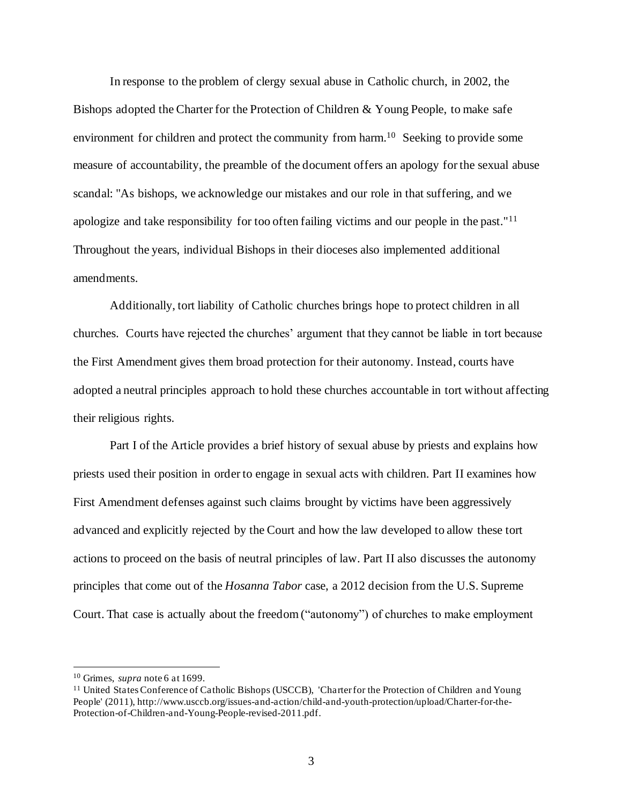In response to the problem of clergy sexual abuse in Catholic church, in 2002, the Bishops adopted the Charter for the Protection of Children & Young People, to make safe environment for children and protect the community from harm.<sup>10</sup> Seeking to provide some measure of accountability, the preamble of the document offers an apology for the sexual abuse scandal: "As bishops, we acknowledge our mistakes and our role in that suffering, and we apologize and take responsibility for too often failing victims and our people in the past."<sup>11</sup> Throughout the years, individual Bishops in their dioceses also implemented additional amendments.

Additionally, tort liability of Catholic churches brings hope to protect children in all churches. Courts have rejected the churches' argument that they cannot be liable in tort because the First Amendment gives them broad protection for their autonomy. Instead, courts have adopted a neutral principles approach to hold these churches accountable in tort without affecting their religious rights.

Part I of the Article provides a brief history of sexual abuse by priests and explains how priests used their position in order to engage in sexual acts with children. Part II examines how First Amendment defenses against such claims brought by victims have been aggressively advanced and explicitly rejected by the Court and how the law developed to allow these tort actions to proceed on the basis of neutral principles of law. Part II also discusses the autonomy principles that come out of the *Hosanna Tabor* case, a 2012 decision from the U.S. Supreme Court. That case is actually about the freedom ("autonomy") of churches to make employment

<sup>10</sup> Grimes, *supra* note 6 at 1699.

<sup>11</sup> United States Conference of Catholic Bishops (USCCB), 'Charterfor the Protection of Children and Young People' (2011), http://www.usccb.org/issues-and-action/child-and-youth-protection/upload/Charter-for-the-Protection-of-Children-and-Young-People-revised-2011.pdf.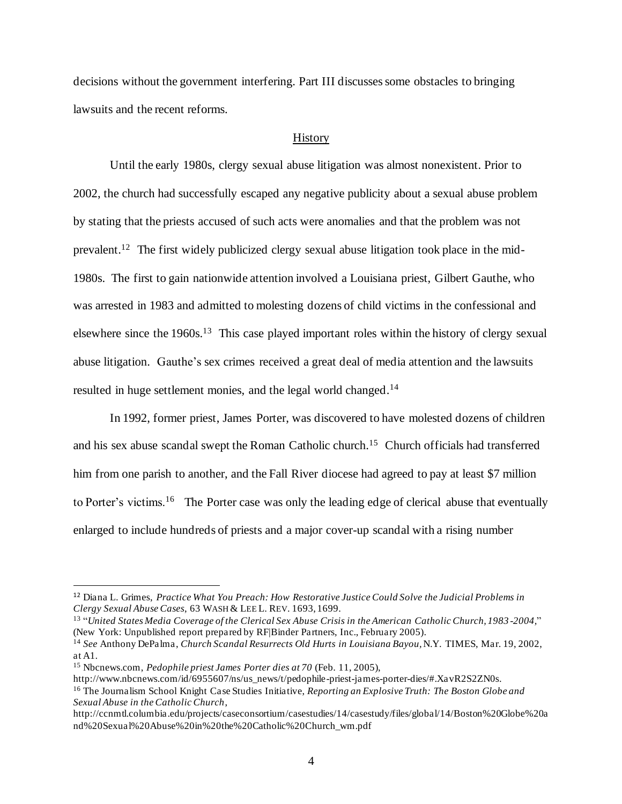decisions without the government interfering. Part III discusses some obstacles to bringing lawsuits and the recent reforms.

#### **History**

Until the early 1980s, clergy sexual abuse litigation was almost nonexistent. Prior to 2002, the church had successfully escaped any negative publicity about a sexual abuse problem by stating that the priests accused of such acts were anomalies and that the problem was not prevalent.<sup>12</sup> The first widely publicized clergy sexual abuse litigation took place in the mid-1980s. The first to gain nationwide attention involved a Louisiana priest, Gilbert Gauthe, who was arrested in 1983 and admitted to molesting dozens of child victims in the confessional and elsewhere since the 1960s.<sup>13</sup> This case played important roles within the history of clergy sexual abuse litigation. Gauthe's sex crimes received a great deal of media attention and the lawsuits resulted in huge settlement monies, and the legal world changed.<sup>14</sup>

In 1992, former priest, James Porter, was discovered to have molested dozens of children and his sex abuse scandal swept the Roman Catholic church.<sup>15</sup> Church officials had transferred him from one parish to another, and the Fall River diocese had agreed to pay at least \$7 million to Porter's victims.<sup>16</sup> The Porter case was only the leading edge of clerical abuse that eventually enlarged to include hundreds of priests and a major cover-up scandal with a rising number

<sup>12</sup> Diana L. Grimes, *Practice What You Preach: How Restorative Justice Could Solve the Judicial Problems in Clergy Sexual Abuse Cases*, 63 WASH & LEE L. REV. 1693, 1699.

<sup>13</sup> "*United States Media Coverage of the Clerical Sex Abuse Crisis in the American Catholic Church, 1983 -2004,*" (New York: Unpublished report prepared by RF|Binder Partners, Inc., February 2005).

<sup>14</sup> *See* Anthony DePalma, *Church Scandal Resurrects Old Hurts in Louisiana Bayou,*N.Y. TIMES, Mar. 19, 2002, at A1.

<sup>15</sup> Nbcnews.com, *Pedophile priest James Porter dies at 70* (Feb. 11, 2005),

http://www.nbcnews.com/id/6955607/ns/us\_news/t/pedophile-priest-james-porter-dies/#.XavR2S2ZN0s.

<sup>16</sup> The Journalism School Knight Case Studies Initiative, *Reporting an Explosive Truth: The Boston Globe and Sexual Abuse in the Catholic Church*,

http://ccnmtl.columbia.edu/projects/caseconsortium/casestudies/14/casestudy/files/global/14/Boston%20Globe%20a nd%20Sexual%20Abuse%20in%20the%20Catholic%20Church\_wm.pdf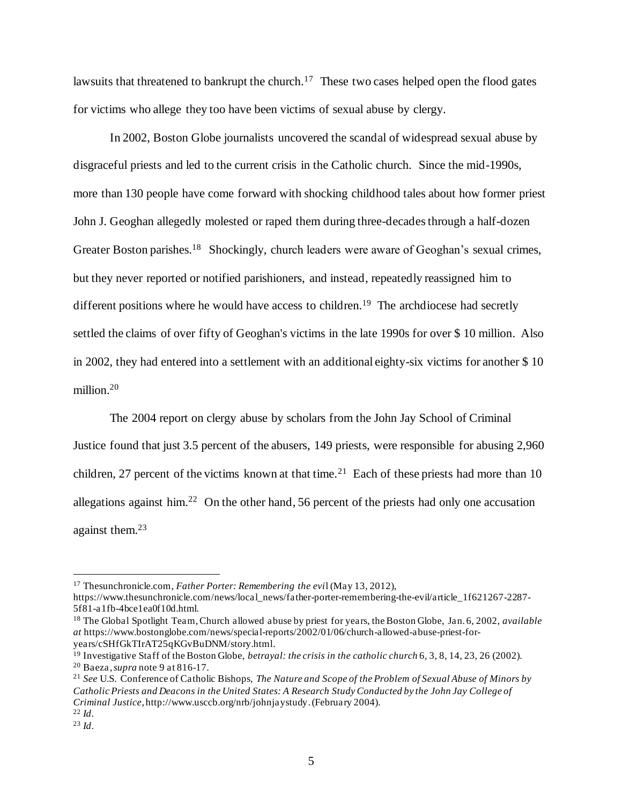lawsuits that threatened to bankrupt the church.<sup>17</sup> These two cases helped open the flood gates for victims who allege they too have been victims of sexual abuse by clergy.

In 2002, Boston Globe journalists uncovered the scandal of widespread sexual abuse by disgraceful priests and led to the current crisis in the Catholic church. Since the mid-1990s, more than 130 people have come forward with shocking childhood tales about how former priest John J. Geoghan allegedly molested or raped them during three-decadesthrough a half-dozen Greater Boston parishes.<sup>18</sup> Shockingly, church leaders were aware of Geoghan's sexual crimes, but they never reported or notified parishioners, and instead, repeatedly reassigned him to different positions where he would have access to children.<sup>19</sup> The archdiocese had secretly settled the claims of over fifty of Geoghan's victims in the late 1990s for over \$ 10 million. Also in 2002, they had entered into a settlement with an additional eighty-six victims for another \$ 10 million.<sup>20</sup>

The 2004 report on clergy abuse by scholars from the John Jay School of Criminal Justice found that just 3.5 percent of the abusers, 149 priests, were responsible for abusing 2,960 children, 27 percent of the victims known at that time.<sup>21</sup> Each of these priests had more than 10 allegations against him.<sup>22</sup> On the other hand, 56 percent of the priests had only one accusation against them.<sup>23</sup>

<sup>17</sup> Thesunchronicle.com, *Father Porter: Remembering the evi*l (May 13, 2012),

https://www.thesunchronicle.com/news/local\_news/father-porter-remembering-the-evil/article\_1f621267-2287- 5f81-a1fb-4bce1ea0f10d.html.

<sup>18</sup> The Global Spotlight Team, Church allowed abuse by priest for years, the Boston Globe, Jan. 6, 2002, *available at* https://www.bostonglobe.com/news/special-reports/2002/01/06/church-allowed-abuse-priest-foryears/cSHfGkTIrAT25qKGvBuDNM/story.html.

<sup>19</sup> Investigative Staff of the Boston Globe, *betrayal: the crisis in the catholic church* 6, 3, 8, 14, 23, 26 (2002). <sup>20</sup> Baeza*, supra* note 9 at 816-17.

<sup>21</sup> *See* U.S. Conference of Catholic Bishops, *The Nature and Scope of the Problem of Sexual Abuse of Minors by Catholic Priests and Deacons in the United States: A Research Study Conducted by the John Jay College of Criminal Justice*, http://www.usccb.org/nrb/johnjaystudy.(February 2004).  $^{22}$  *Id.* 

<sup>23</sup> *Id*.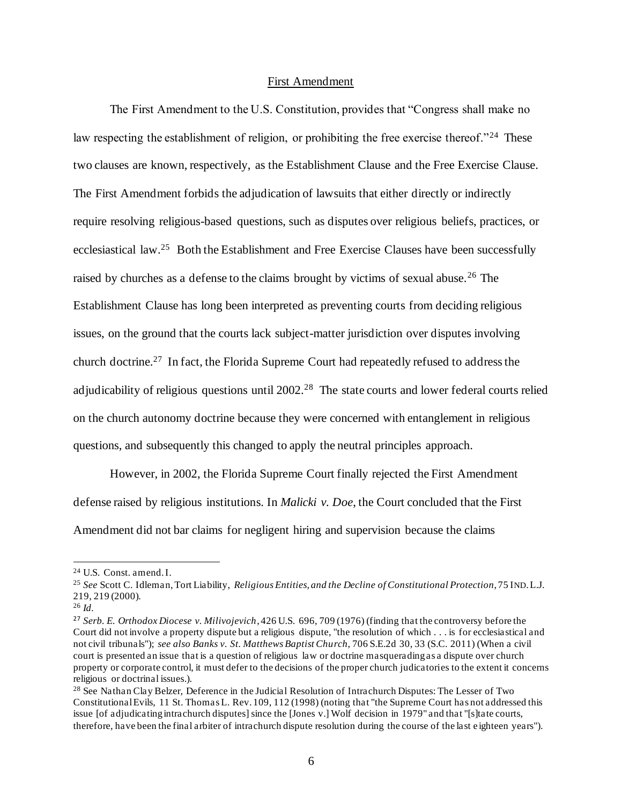### First Amendment

The First Amendment to the U.S. Constitution, provides that "Congress shall make no law respecting the establishment of religion, or prohibiting the free exercise thereof."<sup>24</sup> These two clauses are known, respectively, as the Establishment Clause and the Free Exercise Clause. The First Amendment forbids the adjudication of lawsuits that either directly or indirectly require resolving religious-based questions, such as disputes over religious beliefs, practices, or ecclesiastical law.<sup>25</sup> Both the Establishment and Free Exercise Clauses have been successfully raised by churches as a defense to the claims brought by victims of sexual abuse.<sup>26</sup> The Establishment Clause has long been interpreted as preventing courts from deciding religious issues, on the ground that the courts lack subject-matter jurisdiction over disputes involving church doctrine.<sup>27</sup> In fact, the Florida Supreme Court had repeatedly refused to address the adjudicability of religious questions until 2002.<sup>28</sup> The state courts and lower federal courts relied on the church autonomy doctrine because they were concerned with entanglement in religious questions, and subsequently this changed to apply the neutral principles approach.

However, in 2002, the Florida Supreme Court finally rejected the First Amendment defense raised by religious institutions. In *Malicki v. Doe*, the Court concluded that the First Amendment did not bar claims for negligent hiring and supervision because the claims

<sup>26</sup> *Id.*

<sup>24</sup> U.S. Const. amend. I.

<sup>25</sup> *See* Scott C. Idleman, Tort Liability, *Religious Entities, and the Decline of Constitutional Protection*, 75 IND.L.J. 219, 219 (2000).

<sup>27</sup> *Serb. E. Orthodox Diocese v. Milivojevich*, 426 U.S. 696, 709 (1976) (finding that the controversy before the Court did not involve a property dispute but a religious dispute, "the resolution of which . . . is for ecclesiastical and not civil tribunals"); *see also Banks v. St. Matthews Baptist Church*, 706 S.E.2d 30, 33 (S.C. 2011) (When a civil court is presented an issue that is a question of religious law or doctrine masquerading as a dispute over church property or corporate control, it must defer to the decisions of the proper church judicatories to the extent it concerns religious or doctrinal issues.).

<sup>&</sup>lt;sup>28</sup> See Nathan Clay Belzer, Deference in the Judicial Resolution of Intrachurch Disputes: The Lesser of Two Constitutional Evils, 11 St. Thomas L. Rev. 109, 112 (1998) (noting that "the Supreme Court has not addressed this issue [of adjudicating intrachurch disputes] since the [Jones v.] Wolf decision in 1979" and that "[s]tate courts, therefore, have been the final arbiter of intrachurch dispute resolution during the course of the last e ighteen years").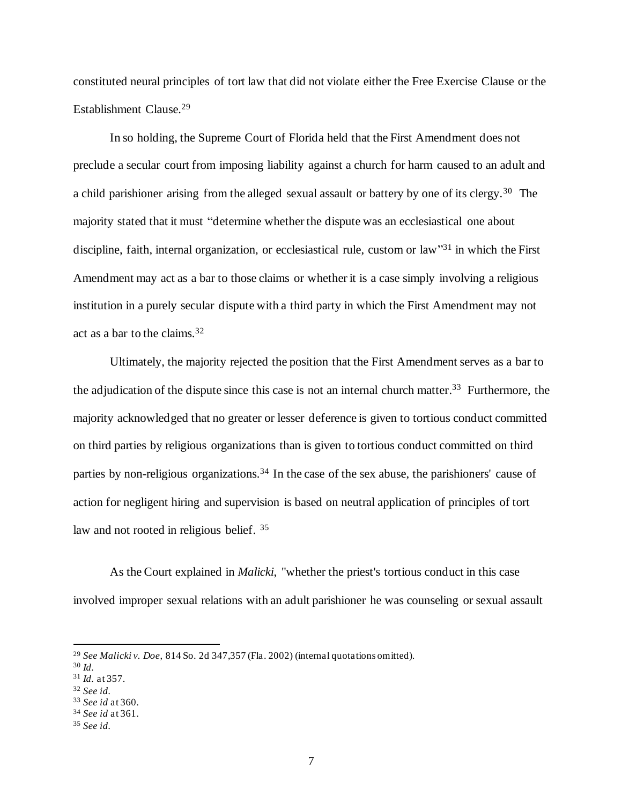constituted neural principles of tort law that did not violate either the Free Exercise Clause or the Establishment Clause.<sup>29</sup>

In so holding, the Supreme Court of Florida held that the First Amendment does not preclude a secular court from imposing liability against a church for harm caused to an adult and a child parishioner arising from the alleged sexual assault or battery by one of its clergy.<sup>30</sup> The majority stated that it must "determine whether the dispute was an ecclesiastical one about discipline, faith, internal organization, or ecclesiastical rule, custom or law<sup>331</sup> in which the First Amendment may act as a bar to those claims or whether it is a case simply involving a religious institution in a purely secular dispute with a third party in which the First Amendment may not act as a bar to the claims.<sup>32</sup>

Ultimately, the majority rejected the position that the First Amendment serves as a bar to the adjudication of the dispute since this case is not an internal church matter. <sup>33</sup> Furthermore, the majority acknowledged that no greater or lesser deference is given to tortious conduct committed on third parties by religious organizations than is given to tortious conduct committed on third parties by non-religious organizations.<sup>34</sup> In the case of the sex abuse, the parishioners' cause of action for negligent hiring and supervision is based on neutral application of principles of tort law and not rooted in religious belief. <sup>35</sup>

As the Court explained in *Malicki*, "whether the priest's tortious conduct in this case involved improper sexual relations with an adult parishioner he was counseling or sexual assault

<sup>29</sup> *See Malicki v. Doe*, 814 So. 2d 347,357 (Fla. 2002) (internal quotations omitted).

<sup>30</sup> *Id.*

<sup>31</sup> *Id.* at 357.

<sup>32</sup> *See id.*

<sup>33</sup> *See id* at 360. <sup>34</sup> *See id* at 361.

<sup>35</sup> *See id.*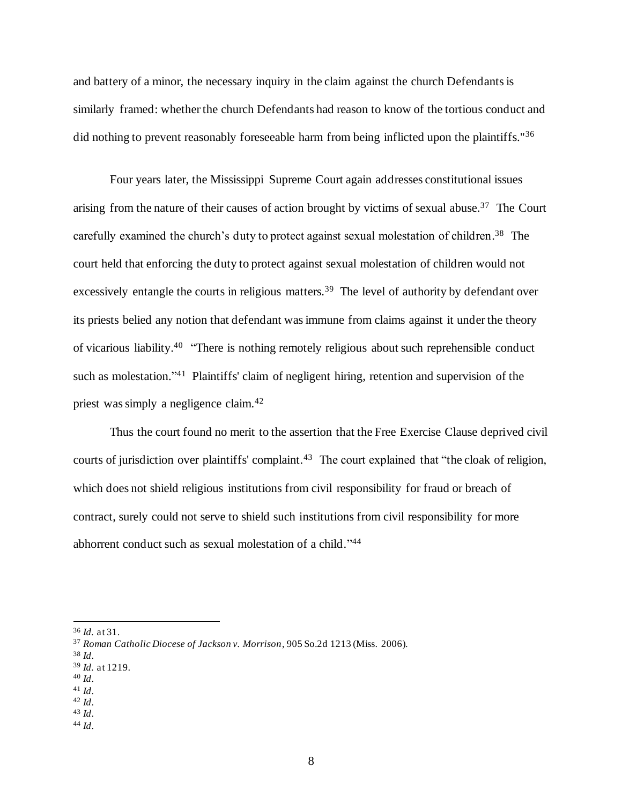and battery of a minor, the necessary inquiry in the claim against the church Defendants is similarly framed: whether the church Defendants had reason to know of the tortious conduct and did nothing to prevent reasonably foreseeable harm from being inflicted upon the plaintiffs."<sup>36</sup>

Four years later, the Mississippi Supreme Court again addresses constitutional issues arising from the nature of their causes of action brought by victims of sexual abuse.<sup>37</sup> The Court carefully examined the church's duty to protect against sexual molestation of children.<sup>38</sup> The court held that enforcing the duty to protect against sexual molestation of children would not excessively entangle the courts in religious matters.<sup>39</sup> The level of authority by defendant over its priests belied any notion that defendant was immune from claims against it under the theory of vicarious liability.<sup>40</sup> "There is nothing remotely religious about such reprehensible conduct such as molestation."<sup>41</sup> Plaintiffs' claim of negligent hiring, retention and supervision of the priest was simply a negligence claim.<sup>42</sup>

Thus the court found no merit to the assertion that the Free Exercise Clause deprived civil courts of jurisdiction over plaintiffs' complaint.<sup>43</sup> The court explained that "the cloak of religion, which does not shield religious institutions from civil responsibility for fraud or breach of contract, surely could not serve to shield such institutions from civil responsibility for more abhorrent conduct such as sexual molestation of a child."<sup>44</sup>

<sup>44</sup> *Id*.

<sup>36</sup> *Id.* at 31.

<sup>37</sup> *Roman Catholic Diocese of Jackson v. Morrison*, 905 So.2d 1213 (Miss. 2006).

<sup>38</sup> *Id*.

<sup>39</sup> *Id.* at 1219.

<sup>40</sup> *Id*.

<sup>41</sup> *Id*. <sup>42</sup> *Id*.

<sup>43</sup> *Id*.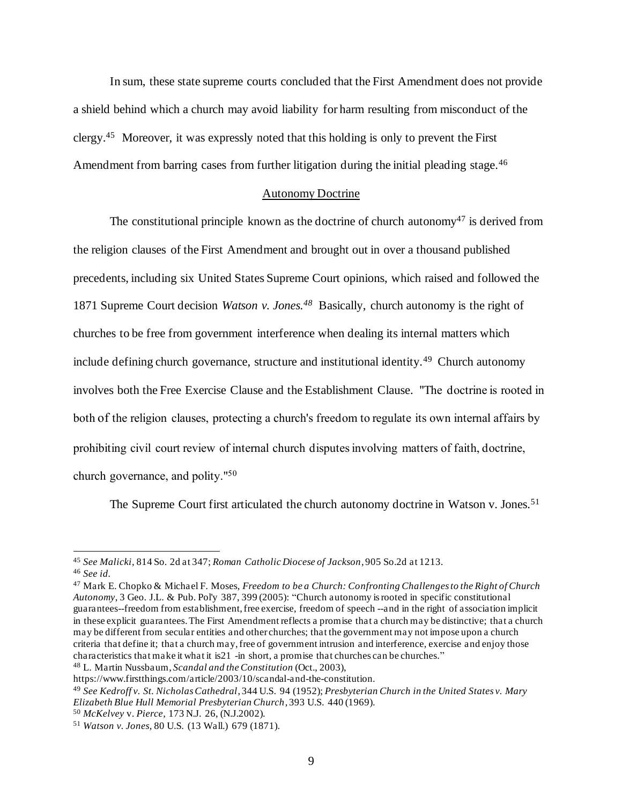In sum, these state supreme courts concluded that the First Amendment does not provide a shield behind which a church may avoid liability for harm resulting from misconduct of the clergy.<sup>45</sup> Moreover, it was expressly noted that this holding is only to prevent the First Amendment from barring cases from further litigation during the initial pleading stage.<sup>46</sup>

#### Autonomy Doctrine

The constitutional principle known as the doctrine of church autonomy<sup>47</sup> is derived from the religion clauses of the First Amendment and brought out in over a thousand published precedents, including six United States Supreme Court opinions, which raised and followed the 1871 Supreme Court decision *Watson v. Jones.<sup>48</sup>* Basically, church autonomy is the right of churches to be free from government interference when dealing its internal matters which include defining church governance, structure and institutional identity.<sup>49</sup> Church autonomy involves both the Free Exercise Clause and the Establishment Clause. "The doctrine is rooted in both of the religion clauses, protecting a church's freedom to regulate its own internal affairs by prohibiting civil court review of internal church disputes involving matters of faith, doctrine, church governance, and polity."<sup>50</sup>

The Supreme Court first articulated the church autonomy doctrine in Watson v. Jones.<sup>51</sup>

<sup>48</sup> L. Martin Nussbaum, *Scandal and the Constitution* (Oct., 2003),

<sup>45</sup> *See Malicki*, 814 So. 2d at 347; *Roman Catholic Diocese of Jackson*, 905 So.2d at 1213. <sup>46</sup> *See id.* 

<sup>47</sup> Mark E. Chopko & Michael F. Moses, *Freedom to be a Church: Confronting Challenges to the Right of Church Autonomy*, 3 Geo. J.L. & Pub. Pol'y 387, 399 (2005): "Church autonomy is rooted in specific constitutional guarantees--freedom from establishment, free exercise, freedom of speech --and in the right of association implicit in these explicit guarantees. The First Amendment reflects a promise that a church may be distinctive; that a church may be different from secular entities and other churches; that the government may not impose upon a church criteria that define it; that a church may, free of government intrusion and interference, exercise and enjoy those characteristics that make it what it is 21 -in short, a promise that churches can be churches."

https://www.firstthings.com/article/2003/10/scandal-and-the-constitution.

<sup>49</sup> *See Kedroff v. St. Nicholas Cathedral*, 344 U.S. 94 (1952); *Presbyterian Church in the United States v. Mary Elizabeth Blue Hull Memorial Presbyterian Church*, 393 U.S. 440 (1969).

<sup>50</sup> *McKelvey* v. *Pierce,* 173 N.J. 26, (N.J.2002).

<sup>51</sup> *Watson v. Jones*, 80 U.S. (13 Wall.) 679 (1871).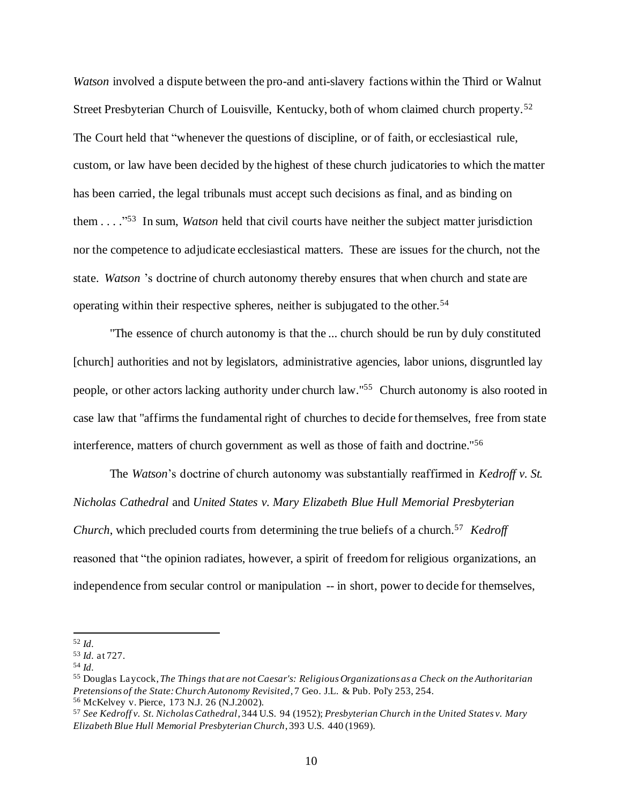*Watson* involved a dispute between the pro-and anti-slavery factions within the Third or Walnut Street Presbyterian Church of Louisville, Kentucky, both of whom claimed church property.<sup>52</sup> The Court held that "whenever the questions of discipline, or of faith, or ecclesiastical rule, custom, or law have been decided by the highest of these church judicatories to which the matter has been carried, the legal tribunals must accept such decisions as final, and as binding on them . . . ." 53 In sum, *Watson* held that civil courts have neither the subject matter jurisdiction nor the competence to adjudicate ecclesiastical matters. These are issues for the church, not the state. *Watson* 's doctrine of church autonomy thereby ensures that when church and state are operating within their respective spheres, neither is subjugated to the other.<sup>54</sup>

"The essence of church autonomy is that the ... church should be run by duly constituted [church] authorities and not by legislators, administrative agencies, labor unions, disgruntled lay people, or other actors lacking authority under church law."<sup>55</sup> Church autonomy is also rooted in case law that "affirms the fundamental right of churches to decide for themselves, free from state interference, matters of church government as well as those of faith and doctrine.''<sup>56</sup>

The *Watson*'s doctrine of church autonomy was substantially reaffirmed in *Kedroff v. St. Nicholas Cathedral* and *United States v. Mary Elizabeth Blue Hull Memorial Presbyterian Church*, which precluded courts from determining the true beliefs of a church.<sup>57</sup> *Kedroff* reasoned that "the opinion radiates, however, a spirit of freedom for religious organizations, an independence from secular control or manipulation -- in short, power to decide for themselves,

<sup>52</sup> *Id.*

<sup>53</sup> *Id.* at 727.

<sup>54</sup> *Id.*

<sup>55</sup> Douglas Laycock,*The Things that are not Caesar's: Religious Organizations as a Check on the Authoritarian Pretensions of the State: Church Autonomy Revisited*, 7 Geo. J.L. & Pub. Pol'y 253, 254. <sup>56</sup> McKelvey v. Pierce, 173 N.J. 26 (N.J.2002).

<sup>57</sup> *See Kedroff v. St. Nicholas Cathedral*, 344 U.S. 94 (1952); *Presbyterian Church in the United States v. Mary Elizabeth Blue Hull Memorial Presbyterian Church*, 393 U.S. 440 (1969).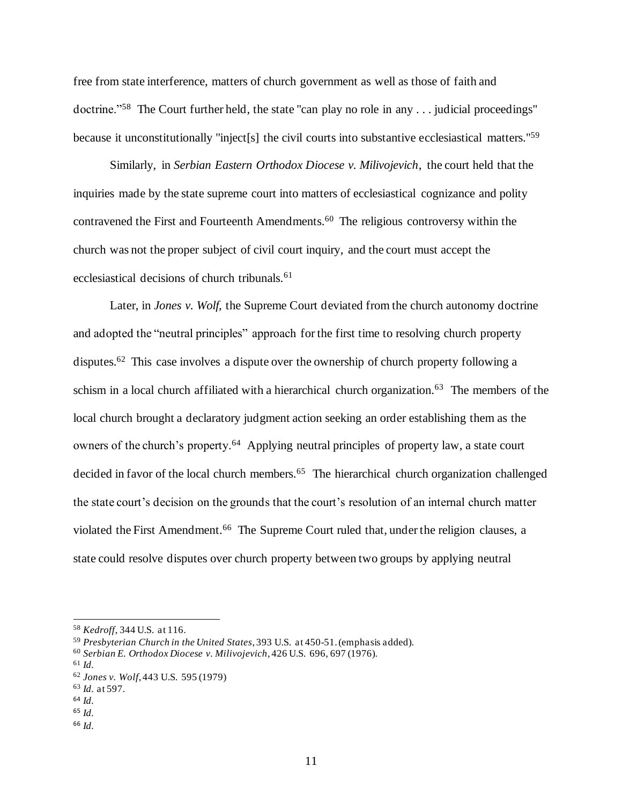free from state interference, matters of church government as well as those of faith and doctrine."<sup>58</sup> The Court further held, the state "can play no role in any ... judicial proceedings" because it unconstitutionally "inject[s] the civil courts into substantive ecclesiastical matters."<sup>59</sup>

Similarly, in *Serbian Eastern Orthodox Diocese v. Milivojevich*, the court held that the inquiries made by the state supreme court into matters of ecclesiastical cognizance and polity contravened the First and Fourteenth Amendments.<sup>60</sup> The religious controversy within the church was not the proper subject of civil court inquiry, and the court must accept the ecclesiastical decisions of church tribunals.<sup>61</sup>

Later, in *Jones v. Wolf*, the Supreme Court deviated from the church autonomy doctrine and adopted the "neutral principles" approach for the first time to resolving church property disputes.<sup>62</sup> This case involves a dispute over the ownership of church property following a schism in a local church affiliated with a hierarchical church organization.<sup>63</sup> The members of the local church brought a declaratory judgment action seeking an order establishing them as the owners of the church's property.<sup>64</sup> Applying neutral principles of property law, a state court decided in favor of the local church members.<sup>65</sup> The hierarchical church organization challenged the state court's decision on the grounds that the court's resolution of an internal church matter violated the First Amendment.<sup>66</sup> The Supreme Court ruled that, under the religion clauses, a state could resolve disputes over church property between two groups by applying neutral

<sup>66</sup> *Id.*

<sup>58</sup> *Kedroff*, 344 U.S. at 116.

<sup>59</sup> *Presbyterian Church in the United States*, 393 U.S. at 450-51. (emphasis added).

<sup>60</sup> *Serbian E. Orthodox Diocese v. Milivojevich*, 426 U.S. 696, 697 (1976).

<sup>61</sup> *Id.*

<sup>62</sup> *Jones v. Wolf*, 443 U.S. 595 (1979)

<sup>63</sup> *Id.* at 597.

<sup>64</sup> *Id.*

<sup>65</sup> *Id.*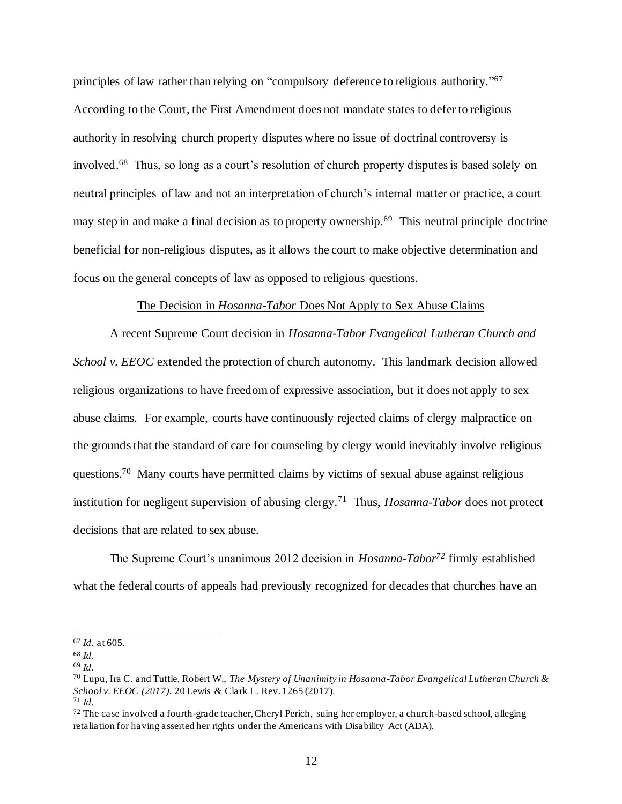principles of law rather than relying on "compulsory deference to religious authority."<sup>67</sup> According to the Court, the First Amendment does not mandate states to defer to religious authority in resolving church property disputes where no issue of doctrinal controversy is involved.<sup>68</sup> Thus, so long as a court's resolution of church property disputes is based solely on neutral principles of law and not an interpretation of church's internal matter or practice, a court may step in and make a final decision as to property ownership.<sup>69</sup> This neutral principle doctrine beneficial for non-religious disputes, as it allows the court to make objective determination and focus on the general concepts of law as opposed to religious questions.

#### The Decision in *Hosanna-Tabor* Does Not Apply to Sex Abuse Claims

A recent Supreme Court decision in *Hosanna-Tabor Evangelical Lutheran Church and School v. EEOC* extended the protection of church autonomy. This landmark decision allowed religious organizations to have freedom of expressive association, but it does not apply to sex abuse claims. For example, courts have continuously rejected claims of clergy malpractice on the grounds that the standard of care for counseling by clergy would inevitably involve religious questions.<sup>70</sup> Many courts have permitted claims by victims of sexual abuse against religious institution for negligent supervision of abusing clergy.<sup>71</sup> Thus, *Hosanna-Tabor* does not protect decisions that are related to sex abuse.

The Supreme Court's unanimous 2012 decision in *Hosanna-Tabor<sup>72</sup>* firmly established what the federal courts of appeals had previously recognized for decades that churches have an

<sup>67</sup> *Id.* at 605.

<sup>68</sup> *Id.*

<sup>69</sup> *Id.*

<sup>70</sup> Lupu, Ira C. and Tuttle, Robert W., *The Mystery of Unanimity in Hosanna-Tabor Evangelical Lutheran Church & School v. EEOC (2017)*. 20 Lewis & Clark L. Rev. 1265 (2017). <sup>71</sup> *Id.*

<sup>&</sup>lt;sup>72</sup> The case involved a fourth-grade teacher, Cheryl Perich, suing her employer, a church-based school, alleging retaliation for having asserted her rights under the Americans with Disability Act (ADA).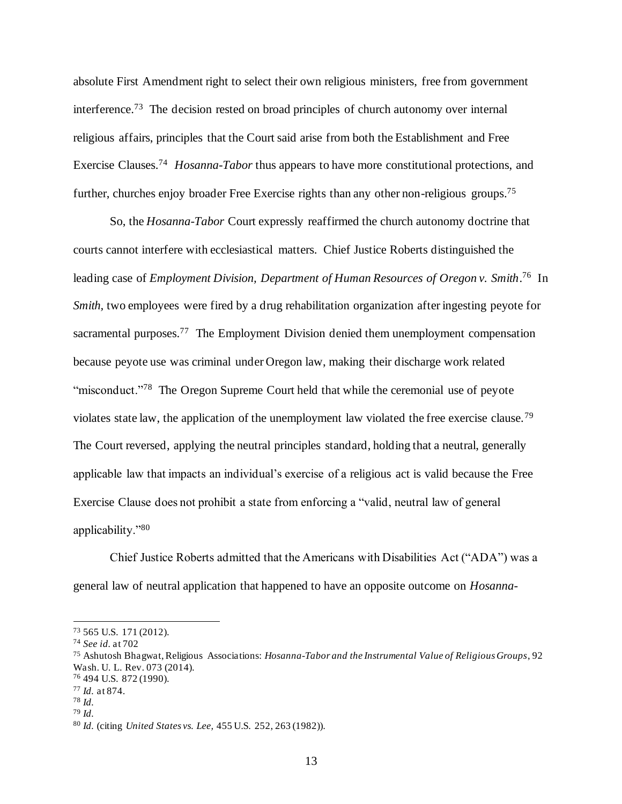absolute First Amendment right to select their own religious ministers, free from government interference.<sup>73</sup> The decision rested on broad principles of church autonomy over internal religious affairs, principles that the Court said arise from both the Establishment and Free Exercise Clauses.<sup>74</sup> *Hosanna-Tabor* thus appears to have more constitutional protections, and further, churches enjoy broader Free Exercise rights than any other non-religious groups.<sup>75</sup>

So, the *Hosanna-Tabor* Court expressly reaffirmed the church autonomy doctrine that courts cannot interfere with ecclesiastical matters. Chief Justice Roberts distinguished the leading case of *Employment Division, Department of Human Resources of Oregon v. Smith*. 76 In *Smith*, two employees were fired by a drug rehabilitation organization after ingesting peyote for sacramental purposes.<sup>77</sup> The Employment Division denied them unemployment compensation because peyote use was criminal under Oregon law, making their discharge work related "misconduct."<sup>78</sup> The Oregon Supreme Court held that while the ceremonial use of peyote violates state law, the application of the unemployment law violated the free exercise clause.<sup>79</sup> The Court reversed, applying the neutral principles standard, holding that a neutral, generally applicable law that impacts an individual's exercise of a religious act is valid because the Free Exercise Clause does not prohibit a state from enforcing a "valid, neutral law of general applicability."<sup>80</sup>

Chief Justice Roberts admitted that the Americans with Disabilities Act ("ADA") was a general law of neutral application that happened to have an opposite outcome on *Hosanna-*

<sup>73</sup> 565 U.S. 171 (2012).

<sup>74</sup> *See id.* at 702

<sup>75</sup> Ashutosh Bhagwat,Religious Associations: *Hosanna-Tabor and the Instrumental Value of Religious Groups*, 92 Wash. U. L. Rev. 073 (2014).

<sup>76</sup> 494 U.S. 872 (1990).

<sup>77</sup> *Id.* at 874.

<sup>78</sup> *Id.*

<sup>79</sup> *Id.*

<sup>80</sup> *Id.* (citing *United States vs. Lee,* 455 U.S. 252, 263 (1982)).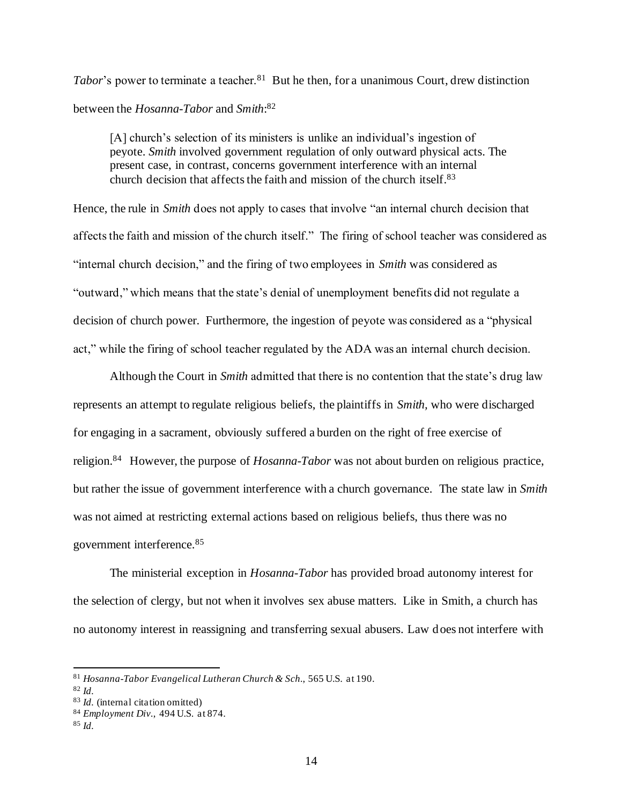Tabor's power to terminate a teacher.<sup>81</sup> But he then, for a unanimous Court, drew distinction between the *Hosanna-Tabor* and *Smith*: 82

[A] church's selection of its ministers is unlike an individual's ingestion of peyote. *Smith* involved government regulation of only outward physical acts. The present case, in contrast, concerns government interference with an internal church decision that affects the faith and mission of the church itself.<sup>83</sup>

Hence, the rule in *Smith* does not apply to cases that involve "an internal church decision that affects the faith and mission of the church itself." The firing of school teacher was considered as "internal church decision," and the firing of two employees in *Smith* was considered as "outward," which means that the state's denial of unemployment benefits did not regulate a decision of church power. Furthermore, the ingestion of peyote was considered as a "physical act," while the firing of school teacher regulated by the ADA was an internal church decision.

Although the Court in *Smith* admitted that there is no contention that the state's drug law represents an attempt to regulate religious beliefs, the plaintiffs in *Smith,* who were discharged for engaging in a sacrament, obviously suffered a burden on the right of free exercise of religion.<sup>84</sup> However, the purpose of *Hosanna-Tabor* was not about burden on religious practice, but rather the issue of government interference with a church governance. The state law in *Smith*  was not aimed at restricting external actions based on religious beliefs, thus there was no government interference.<sup>85</sup>

The ministerial exception in *Hosanna-Tabor* has provided broad autonomy interest for the selection of clergy, but not when it involves sex abuse matters. Like in Smith, a church has no autonomy interest in reassigning and transferring sexual abusers. Law does not interfere with

<sup>81</sup> *Hosanna-Tabor Evangelical Lutheran Church & Sch.*, 565 U.S. at 190.

<sup>82</sup> *Id.*

<sup>83</sup> *Id.* (internal citation omitted)

<sup>84</sup> *Employment Div.*, 494 U.S. at 874.

<sup>85</sup> *Id.*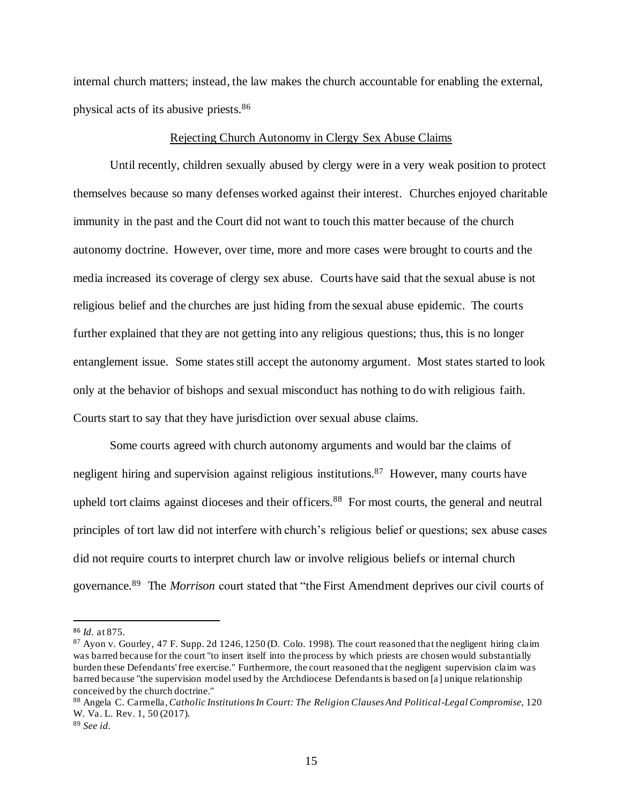internal church matters; instead, the law makes the church accountable for enabling the external, physical acts of its abusive priests.<sup>86</sup>

#### Rejecting Church Autonomy in Clergy Sex Abuse Claims

Until recently, children sexually abused by clergy were in a very weak position to protect themselves because so many defenses worked against their interest. Churches enjoyed charitable immunity in the past and the Court did not want to touch this matter because of the church autonomy doctrine. However, over time, more and more cases were brought to courts and the media increased its coverage of clergy sex abuse. Courts have said that the sexual abuse is not religious belief and the churches are just hiding from the sexual abuse epidemic. The courts further explained that they are not getting into any religious questions; thus, this is no longer entanglement issue. Some states still accept the autonomy argument. Most states started to look only at the behavior of bishops and sexual misconduct has nothing to do with religious faith. Courts start to say that they have jurisdiction over sexual abuse claims.

Some courts agreed with church autonomy arguments and would bar the claims of negligent hiring and supervision against religious institutions.<sup>87</sup> However, many courts have upheld tort claims against dioceses and their officers.<sup>88</sup> For most courts, the general and neutral principles of tort law did not interfere with church's religious belief or questions; sex abuse cases did not require courts to interpret church law or involve religious beliefs or internal church governance.<sup>89</sup> The *Morrison* court stated that "the First Amendment deprives our civil courts of

<sup>86</sup> *Id.* at 875.

<sup>87</sup> Ayon v. Gourley, 47 F. Supp. 2d 1246, 1250 (D. Colo. 1998). The court reasoned that the negligent hiring claim was barred because for the court "to insert itself into the process by which priests are chosen would substantially burden these Defendants' free exercise." Furthermore, the court reasoned that the negligent supervision claim was barred because "the supervision model used by the Archdiocese Defendants is based on [a] unique relationship conceived by the church doctrine."

<sup>88</sup> Angela C. Carmella,*Catholic Institutions In Court: The Religion Clauses And Political-Legal Compromise,* 120 W. Va. L. Rev. 1, 50 (2017).

<sup>89</sup> *See id.*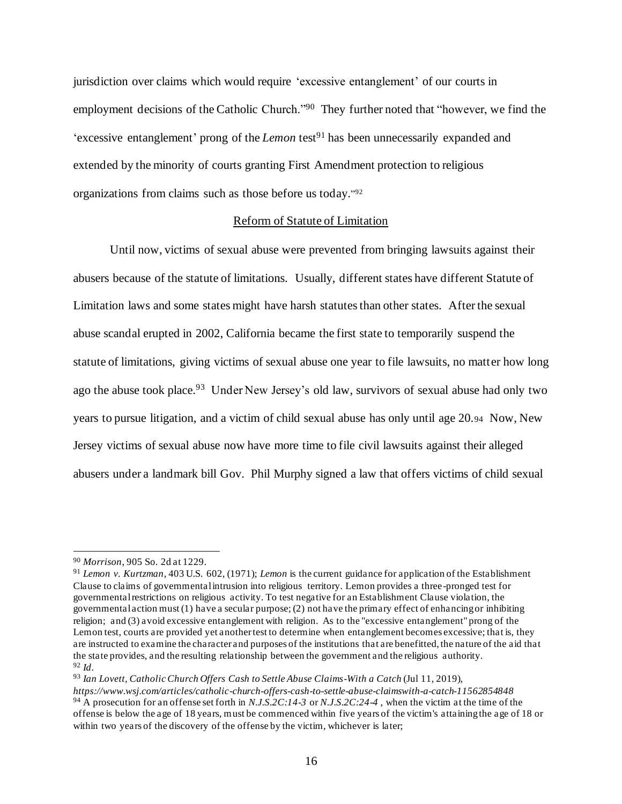jurisdiction over claims which would require 'excessive entanglement' of our courts in employment decisions of the Catholic Church."<sup>90</sup> They further noted that "however, we find the 'excessive entanglement' prong of the *Lemon* test<sup>91</sup> has been unnecessarily expanded and extended by the minority of courts granting First Amendment protection to religious organizations from claims such as those before us today." 92

# Reform of Statute of Limitation

Until now, victims of sexual abuse were prevented from bringing lawsuits against their abusers because of the statute of limitations. Usually, different states have different Statute of Limitation laws and some states might have harsh statutes than other states. After the sexual abuse scandal erupted in 2002, California became the first state to temporarily suspend the statute of limitations, giving victims of sexual abuse one year to file lawsuits, no matter how long ago the abuse took place.<sup>93</sup> Under New Jersey's old law, survivors of sexual abuse had only two years to pursue litigation, and a victim of child sexual abuse has only until age 20.<sup>94</sup> Now, New Jersey victims of sexual abuse now have more time to file civil lawsuits against their alleged abusers under a landmark bill Gov. Phil Murphy signed a law that offers victims of child sexual

<sup>90</sup> *Morrison*, 905 So. 2d at 1229.

<sup>91</sup> *Lemon v. Kurtzman*, 403 U.S. 602, (1971); *Lemon* is the current guidance for application of the Establishment Clause to claims of governmental intrusion into religious territory. Lemon provides a three-pronged test for governmental restrictions on religious activity. To test negative for an Establishment Clause violation, the governmental action must (1) have a secular purpose; (2) not have the primary effect of enhancing or inhibiting religion; and (3) avoid excessive entanglement with religion. As to the "excessive entanglement" prong of the Lemon test, courts are provided yet another test to determine when entanglement becomes excessive; that is, they are instructed to examine the character and purposes of the institutions that are benefitted, the nature of the aid that the state provides, and the resulting relationship between the government and the religious authority. <sup>92</sup> *Id*.

<sup>&</sup>lt;sup>93</sup> Ian Lovett, Catholic Church Offers Cash to Settle Abuse Claims-With a Catch (Jul 11, 2019),

*https://www.wsj.com/articles/catholic-church-offers-cash-to-settle-abuse-claimswith-a-catch-11562854848* <sup>94</sup> A prosecution for an offense set forth in *N.J.S.2C:14-3* or *N.J.S.2C:24-4* , when the victim at the time of the offense is below the age of 18 years, must be commenced within five years of the victim's attaining the age of 18 or within two years of the discovery of the offense by the victim, whichever is later;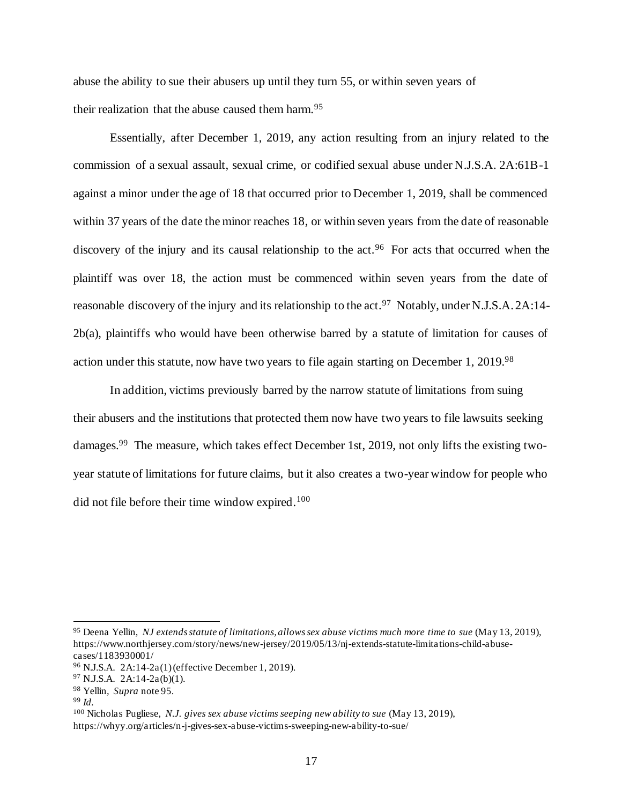abuse the ability to sue their abusers up until they turn 55, or within seven years of their realization that the abuse caused them harm.  $95$ 

Essentially, after December 1, 2019, any action resulting from an injury related to the commission of a sexual assault, sexual crime, or codified sexual abuse under N.J.S.A. 2A:61B-1 against a minor under the age of 18 that occurred prior to December 1, 2019, shall be commenced within 37 years of the date the minor reaches 18, or within seven years from the date of reasonable discovery of the injury and its causal relationship to the act.<sup>96</sup> For acts that occurred when the plaintiff was over 18, the action must be commenced within seven years from the date of reasonable discovery of the injury and its relationship to the act.<sup>97</sup> Notably, under N.J.S.A. 2A:14-2b(a), plaintiffs who would have been otherwise barred by a statute of limitation for causes of action under this statute, now have two years to file again starting on December 1, 2019.<sup>98</sup>

In addition, victims previously barred by the narrow statute of limitations from suing their abusers and the institutions that protected them now have two years to file lawsuits seeking damages.<sup>99</sup> The measure, which takes effect December 1st, 2019, not only lifts the existing twoyear statute of limitations for future claims, but it also creates a two-year window for people who did not file before their time window expired.<sup>100</sup>

<sup>100</sup> Nicholas Pugliese, *N.J. gives sex abuse victims seeping new ability to sue* (May 13, 2019), https://whyy.org/articles/n-j-gives-sex-abuse-victims-sweeping-new-ability-to-sue/

<sup>95</sup> Deena Yellin, *NJ extends statute of limitations, allows sex abuse victims much more time to sue* (May 13, 2019), https://www.northjersey.com/story/news/new-jersey/2019/05/13/nj-extends-statute-limitations-child-abusecases/1183930001/

<sup>96</sup> N.J.S.A. 2A:14-2a(1) (effective December 1, 2019).

<sup>97</sup> N.J.S.A. 2A:14-2a(b)(1).

<sup>98</sup> Yellin*, Supra* note 95.

<sup>99</sup> *Id.*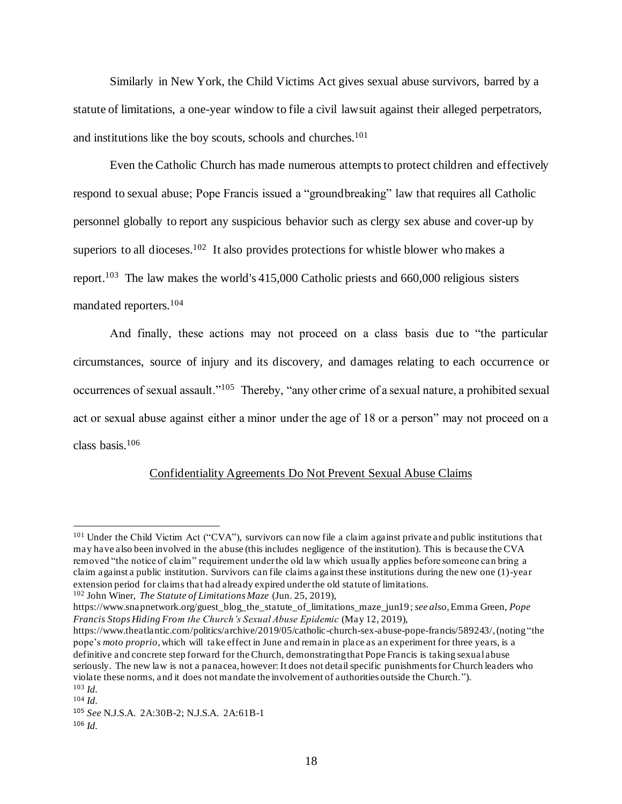Similarly in New York, the Child Victims Act gives sexual abuse survivors, barred by a statute of limitations, a one-year window to file a civil lawsuit against their alleged perpetrators, and institutions like the boy scouts, schools and churches. 101

Even the Catholic Church has made numerous attempts to protect children and effectively respond to sexual abuse; Pope Francis issued a "groundbreaking" law that requires all Catholic personnel globally to report any suspicious behavior such as clergy sex abuse and cover-up by superiors to all dioceses.<sup>102</sup> It also provides protections for whistle blower who makes a report.<sup>103</sup> The law makes the world's 415,000 Catholic priests and 660,000 religious sisters mandated reporters.<sup>104</sup>

And finally, these actions may not proceed on a class basis due to "the particular circumstances, source of injury and its discovery, and damages relating to each occurrence or occurrences of sexual assault."<sup>105</sup> Thereby, "any other crime of a sexual nature, a prohibited sexual act or sexual abuse against either a minor under the age of 18 or a person" may not proceed on a class basis.<sup>106</sup>

# Confidentiality Agreements Do Not Prevent Sexual Abuse Claims

<sup>&</sup>lt;sup>101</sup> Under the Child Victim Act ("CVA"), survivors can now file a claim against private and public institutions that may have also been involved in the abuse (this includes negligence of the institution). This is because the CVA removed "the notice of claim" requirement under the old law which usually applies before someone can bring a claim against a public institution. Survivors can file claims against these institutions during the new one (1)-year extension period for claims that had already expired under the old statute of limitations.

<sup>102</sup> John Winer, *The Statute of Limitations Maze* (Jun. 25, 2019),

https://www.snapnetwork.org/guest\_blog\_the\_statute\_of\_limitations\_maze\_jun19 ; *see also*, Emma Green, *Pope Francis Stops Hiding From the Church's Sexual Abuse Epidemic* (May 12, 2019),

https://www.theatlantic.com/politics/archive/2019/05/catholic-church-sex-abuse-pope-francis/589243/, (noting "the pope's *moto proprio*, which will take effect in June and remain in place as an experiment for three years, is a definitive and concrete step forward for the Church, demonstrating that Pope Francis is taking sexual abuse seriously. The new law is not a panacea, however: It does not detail specific punishments for Church leaders who violate these norms, and it does not mandate the involvement of authorities outside the Church."). <sup>103</sup> *Id.*

<sup>104</sup> *Id.*

<sup>105</sup> *See* N.J.S.A. 2A:30B-2; N.J.S.A. 2A:61B-1

<sup>106</sup> *Id.*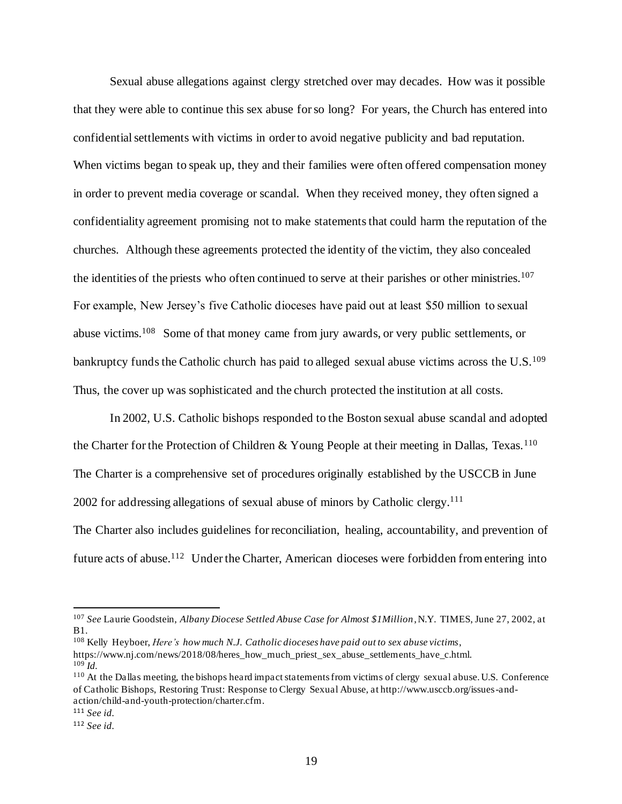Sexual abuse allegations against clergy stretched over may decades. How was it possible that they were able to continue this sex abuse for so long? For years, the Church has entered into confidential settlements with victims in order to avoid negative publicity and bad reputation. When victims began to speak up, they and their families were often offered compensation money in order to prevent media coverage or scandal. When they received money, they often signed a confidentiality agreement promising not to make statements that could harm the reputation of the churches. Although these agreements protected the identity of the victim, they also concealed the identities of the priests who often continued to serve at their parishes or other ministries.<sup>107</sup> For example, New Jersey's five Catholic dioceses have paid out at least \$50 million to sexual abuse victims.<sup>108</sup> Some of that money came from jury awards, or very public settlements, or bankruptcy funds the Catholic church has paid to alleged sexual abuse victims across the U.S.<sup>109</sup> Thus, the cover up was sophisticated and the church protected the institution at all costs.

In 2002, U.S. Catholic bishops responded to the Boston sexual abuse scandal and adopted the Charter for the Protection of Children & Young People at their meeting in Dallas, Texas.<sup>110</sup> The Charter is a comprehensive set of procedures originally established by the USCCB in June 2002 for addressing allegations of sexual abuse of minors by Catholic clergy.<sup>111</sup>

The Charter also includes guidelines for reconciliation, healing, accountability, and prevention of future acts of abuse.<sup>112</sup> Under the Charter, American dioceses were forbidden from entering into

<sup>108</sup> Kelly Heyboer, *Here's how much N.J. Catholic dioceses have paid out to sex abuse victims*,

<sup>107</sup> *See* Laurie Goodstein, *Albany Diocese Settled Abuse Case for Almost \$1Million*, N.Y. TIMES, June 27, 2002, at B1.

https://www.nj.com/news/2018/08/heres\_how\_much\_priest\_sex\_abuse\_settlements\_have\_c.html. <sup>109</sup> *Id.*

<sup>110</sup> At the Dallas meeting, the bishops heard impact statements from victims of clergy sexual abuse. U.S. Conference of Catholic Bishops, Restoring Trust: Response to Clergy Sexual Abuse, at http://www.usccb.org/issues-andaction/child-and-youth-protection/charter.cfm.

<sup>111</sup> *See id.*

<sup>112</sup> *See id.*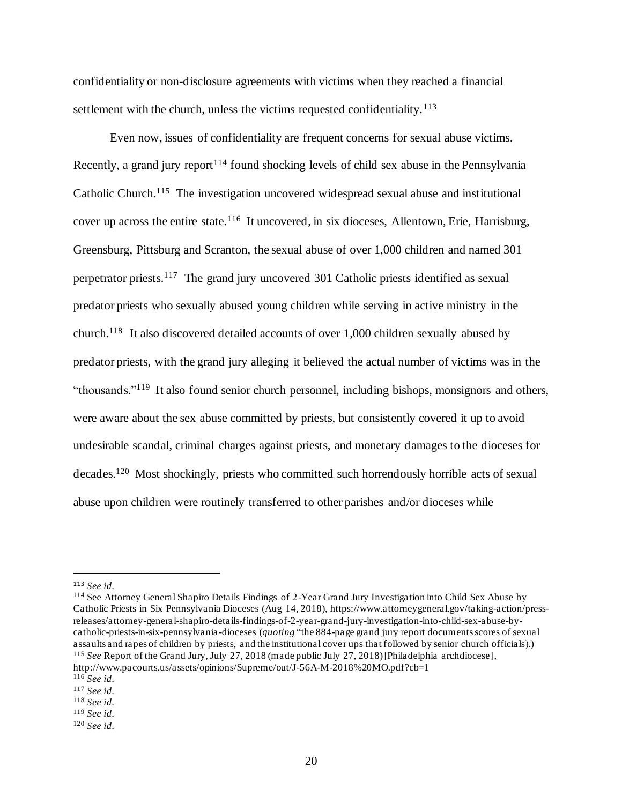confidentiality or non-disclosure agreements with victims when they reached a financial settlement with the church, unless the victims requested confidentiality.<sup>113</sup>

Even now, issues of confidentiality are frequent concerns for sexual abuse victims. Recently, a grand jury report<sup>114</sup> found shocking levels of child sex abuse in the Pennsylvania Catholic Church.<sup>115</sup> The investigation uncovered widespread sexual abuse and institutional cover up across the entire state.<sup>116</sup> It uncovered, in six dioceses, Allentown, Erie, Harrisburg, Greensburg, Pittsburg and Scranton, the sexual abuse of over 1,000 children and named 301 perpetrator priests.<sup>117</sup> The grand jury uncovered 301 Catholic priests identified as sexual predator priests who sexually abused young children while serving in active ministry in the church.<sup>118</sup> It also discovered detailed accounts of over 1,000 children sexually abused by predator priests, with the grand jury alleging it believed the actual number of victims was in the "thousands."<sup>119</sup> It also found senior church personnel, including bishops, monsignors and others, were aware about the sex abuse committed by priests, but consistently covered it up to avoid undesirable scandal, criminal charges against priests, and monetary damages to the dioceses for decades.<sup>120</sup> Most shockingly, priests who committed such horrendously horrible acts of sexual abuse upon children were routinely transferred to other parishes and/or dioceses while

<sup>114</sup> See Attorney General Shapiro Details Findings of 2-Year Grand Jury Investigation into Child Sex Abuse by Catholic Priests in Six Pennsylvania Dioceses (Aug 14, 2018), https://www.attorneygeneral.gov/taking-action/pressreleases/attorney-general-shapiro-details-findings-of-2-year-grand-jury-investigation-into-child-sex-abuse-bycatholic-priests-in-six-pennsylvania -dioceses (*quoting* "the 884-page grand jury report documents scores of sexual assaults and rapes of children by priests, and the institutional cover ups that followed by senior church officials).) <sup>115</sup> *See* Report of the Grand Jury, July 27, 2018 (made public July 27, 2018) [Philadelphia archdiocese], http://www.pacourts.us/assets/opinions/Supreme/out/J-56A-M-2018%20MO.pdf?cb=1

<sup>113</sup> *See id.*

<sup>116</sup> *See id.*

<sup>117</sup> *See id.*

<sup>118</sup> *See id.*

<sup>119</sup> *See id.*

<sup>120</sup> *See id.*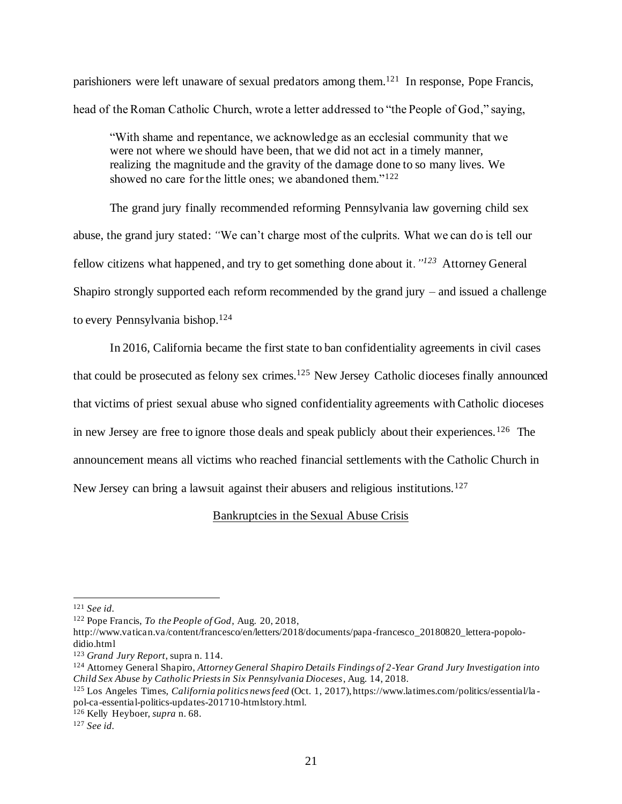parishioners were left unaware of sexual predators among them.<sup>121</sup> In response, Pope Francis, head of the Roman Catholic Church, wrote a letter addressed to "the People of God," saying,

"With shame and repentance, we acknowledge as an ecclesial community that we were not where we should have been, that we did not act in a timely manner, realizing the magnitude and the gravity of the damage done to so many lives. We showed no care for the little ones; we abandoned them."<sup>122</sup>

The grand jury finally recommended reforming Pennsylvania law governing child sex abuse, the grand jury stated: *"*We can't charge most of the culprits. What we can do is tell our fellow citizens what happened, and try to get something done about it*."<sup>123</sup>* Attorney General Shapiro strongly supported each reform recommended by the grand jury – and issued a challenge to every Pennsylvania bishop.<sup>124</sup>

In 2016, California became the first state to ban confidentiality agreements in civil cases that could be prosecuted as felony sex crimes.<sup>125</sup> New Jersey Catholic dioceses finally announced that victims of priest sexual abuse who signed confidentiality agreements with Catholic dioceses in new Jersey are free to ignore those deals and speak publicly about their experiences.<sup>126</sup> The announcement means all victims who reached financial settlements with the Catholic Church in New Jersey can bring a lawsuit against their abusers and religious institutions.<sup>127</sup>

#### Bankruptcies in the Sexual Abuse Crisis

<sup>121</sup> *See id.*

<sup>122</sup> Pope Francis, *To the People of God*, Aug. 20, 2018,

http://www.vatican.va/content/francesco/en/letters/2018/documents/papa-francesco\_20180820\_lettera-popolodidio.html

<sup>123</sup> *Grand Jury Report*, supra n. 114.

<sup>124</sup> Attorney General Shapiro, *Attorney General Shapiro Details Findings of 2-Year Grand Jury Investigation into Child Sex Abuse by Catholic Priests in Six Pennsylvania Dioceses*, Aug. 14, 2018.

<sup>125</sup> Los Angeles Times, *California politics news feed* (Oct. 1, 2017), https://www.latimes.com/politics/essential/la pol-ca-essential-politics-updates-201710-htmlstory.html.

<sup>126</sup> Kelly Heyboer, *supra* n. 68.

<sup>127</sup> *See id.*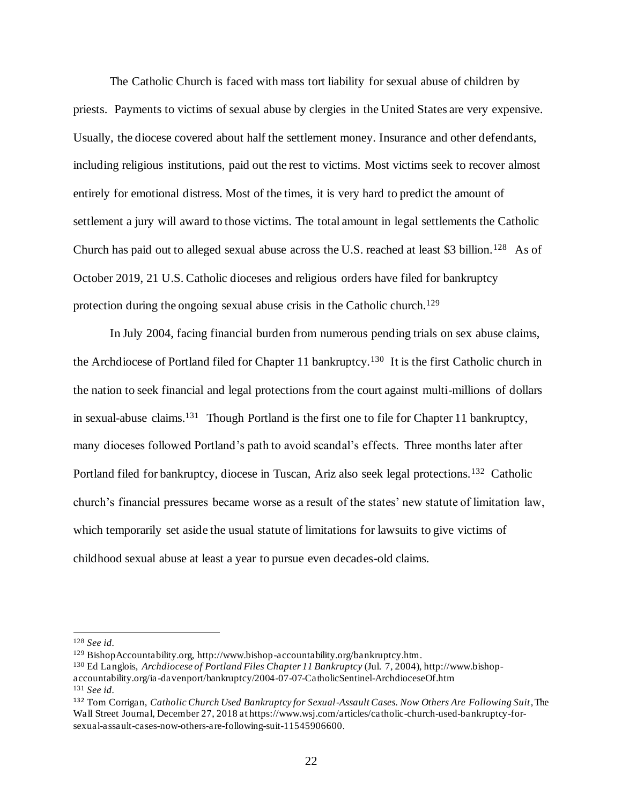The Catholic Church is faced with mass tort liability for sexual abuse of children by priests. Payments to victims of sexual abuse by clergies in the United States are very expensive. Usually, the diocese covered about half the settlement money. Insurance and other defendants, including religious institutions, paid out the rest to victims. Most victims seek to recover almost entirely for emotional distress. Most of the times, it is very hard to predict the amount of settlement a jury will award to those victims. The total amount in legal settlements the Catholic Church has paid out to alleged sexual abuse across the U.S. reached at least \$3 billion.<sup>128</sup> As of October 2019, 21 U.S. Catholic dioceses and religious orders have filed for bankruptcy protection during the ongoing sexual abuse crisis in the Catholic church.<sup>129</sup>

In July 2004, facing financial burden from numerous pending trials on sex abuse claims, the Archdiocese of Portland filed for Chapter 11 bankruptcy.<sup>130</sup> It is the first Catholic church in the nation to seek financial and legal protections from the court against multi-millions of dollars in sexual-abuse claims.<sup>131</sup> Though Portland is the first one to file for Chapter 11 bankruptcy, many dioceses followed Portland's path to avoid scandal's effects. Three months later after Portland filed for bankruptcy, diocese in Tuscan, Ariz also seek legal protections.<sup>132</sup> Catholic church's financial pressures became worse as a result of the states' new statute of limitation law, which temporarily set aside the usual statute of limitations for lawsuits to give victims of childhood sexual abuse at least a year to pursue even decades-old claims.

<sup>128</sup> *See id.*

<sup>129</sup> BishopAccountability.org, http://www.bishop-accountability.org/bankruptcy.htm.

<sup>130</sup> Ed Langlois, *Archdiocese of Portland Files Chapter 11 Bankruptcy* (Jul. 7, 2004), http://www.bishopaccountability.org/ia -davenport/bankruptcy/2004-07-07-CatholicSentinel-ArchdioceseOf.htm <sup>131</sup> *See id.*

<sup>132</sup> Tom Corrigan, *Catholic Church Used Bankruptcy for Sexual-Assault Cases. Now Others Are Following Suit*,The Wall Street Journal, December 27, 2018 at https://www.wsj.com/articles/catholic-church-used-bankruptcy-forsexual-assault-cases-now-others-are-following-suit-11545906600.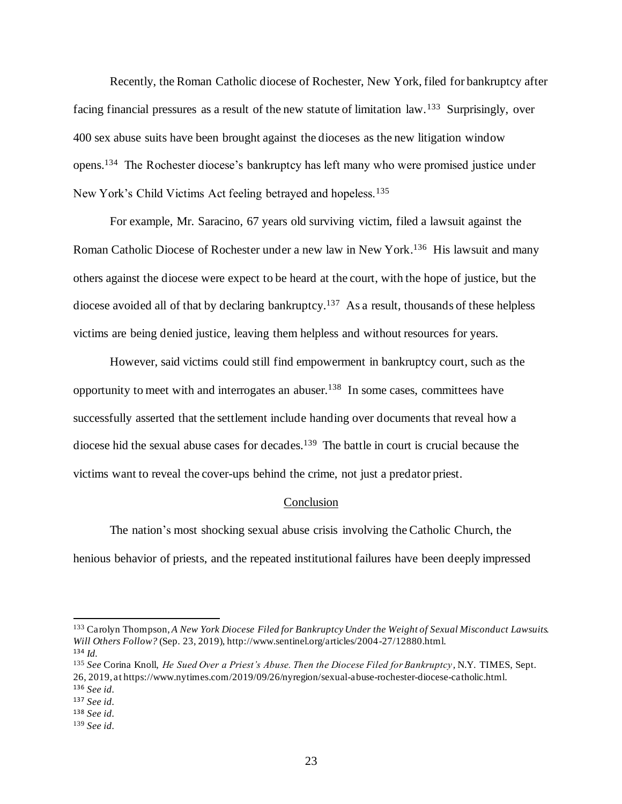Recently, the Roman Catholic diocese of Rochester, New York, filed for bankruptcy after facing financial pressures as a result of the new statute of limitation law.<sup>133</sup> Surprisingly, over 400 sex abuse suits have been brought against the dioceses as the new litigation window opens.<sup>134</sup> The Rochester diocese's bankruptcy has left many who were promised justice under New York's Child Victims Act feeling betrayed and hopeless.<sup>135</sup>

For example, Mr. Saracino, 67 years old surviving victim, filed a lawsuit against the Roman Catholic Diocese of Rochester under a new law in New York.<sup>136</sup> His lawsuit and many others against the diocese were expect to be heard at the court, with the hope of justice, but the diocese avoided all of that by declaring bankruptcy.<sup>137</sup> As a result, thousands of these helpless victims are being denied justice, leaving them helpless and without resources for years.

However, said victims could still find empowerment in bankruptcy court, such as the opportunity to meet with and interrogates an abuser.<sup>138</sup> In some cases, committees have successfully asserted that the settlement include handing over documents that reveal how a diocese hid the sexual abuse cases for decades.<sup>139</sup> The battle in court is crucial because the victims want to reveal the cover-ups behind the crime, not just a predator priest.

# **Conclusion**

The nation's most shocking sexual abuse crisis involving the Catholic Church, the henious behavior of priests, and the repeated institutional failures have been deeply impressed

<sup>133</sup> Carolyn Thompson, *A New York Diocese Filed for Bankruptcy Under the Weight of Sexual Misconduct Lawsuits. Will Others Follow?* (Sep. 23, 2019), http://www.sentinel.org/articles/2004-27/12880.html. <sup>134</sup> *Id.*

<sup>135</sup> *See* Corina Knoll, *He Sued Over a Priest's Abuse. Then the Diocese Filed for Bankruptcy,* N.Y. TIMES, Sept. 26, 2019, at https://www.nytimes.com/2019/09/26/nyregion/sexual-abuse-rochester-diocese-catholic.html.

<sup>136</sup> *See id.*

<sup>137</sup> *See id.*

<sup>138</sup> *See id.*

<sup>139</sup> *See id.*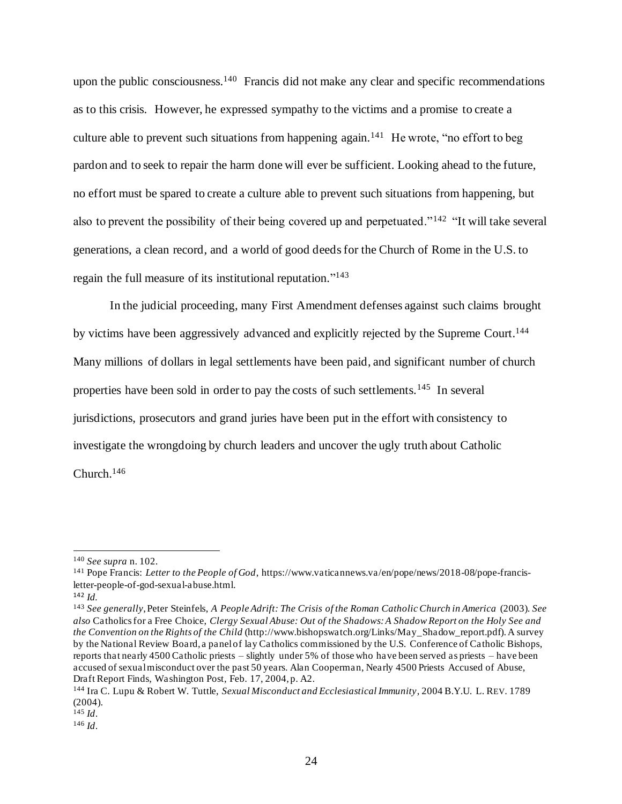upon the public consciousness.<sup>140</sup> Francis did not make any clear and specific recommendations as to this crisis. However, he expressed sympathy to the victims and a promise to create a culture able to prevent such situations from happening again.<sup>141</sup> He wrote, "no effort to beg pardon and to seek to repair the harm done will ever be sufficient. Looking ahead to the future, no effort must be spared to create a culture able to prevent such situations from happening, but also to prevent the possibility of their being covered up and perpetuated."<sup>142</sup> "It will take several generations, a clean record, and a world of good deeds for the Church of Rome in the U.S. to regain the full measure of its institutional reputation."<sup>143</sup>

In the judicial proceeding, many First Amendment defenses against such claims brought by victims have been aggressively advanced and explicitly rejected by the Supreme Court.<sup>144</sup> Many millions of dollars in legal settlements have been paid, and significant number of church properties have been sold in order to pay the costs of such settlements.<sup>145</sup> In several jurisdictions, prosecutors and grand juries have been put in the effort with consistency to investigate the wrongdoing by church leaders and uncover the ugly truth about Catholic Church. 146

<sup>140</sup> *See supra* n. 102.

<sup>141</sup> Pope Francis: *Letter to the People of God*, https://www.vaticannews.va/en/pope/news/2018-08/pope-francisletter-people-of-god-sexual-abuse.html.

<sup>142</sup> *Id.*

<sup>143</sup> *See generally*, Peter Steinfels, *A People Adrift: The Crisis of the Roman Catholic Church in America* (2003). *See also* Catholics for a Free Choice, *Clergy Sexual Abuse: Out of the Shadows: A Shadow Report on the Holy See and the Convention on the Rights of the Child* (http://www.bishopswatch.org/Links/May\_Shadow\_report.pdf). A survey by the National Review Board, a panel of lay Catholics commissioned by the U.S. Conference of Catholic Bishops, reports that nearly 4500 Catholic priests – slightly under 5% of those who have been served as priests – have been accused of sexual misconduct over the past 50 years. Alan Cooperman, Nearly 4500 Priests Accused of Abuse, Draft Report Finds, Washington Post, Feb. 17, 2004, p. A2.

<sup>144</sup> Ira C. Lupu & Robert W. Tuttle, *Sexual Misconduct and Ecclesiastical Immunity*, 2004 B.Y.U. L. REV. 1789 (2004).

<sup>145</sup> *Id*.

<sup>146</sup> *Id*.